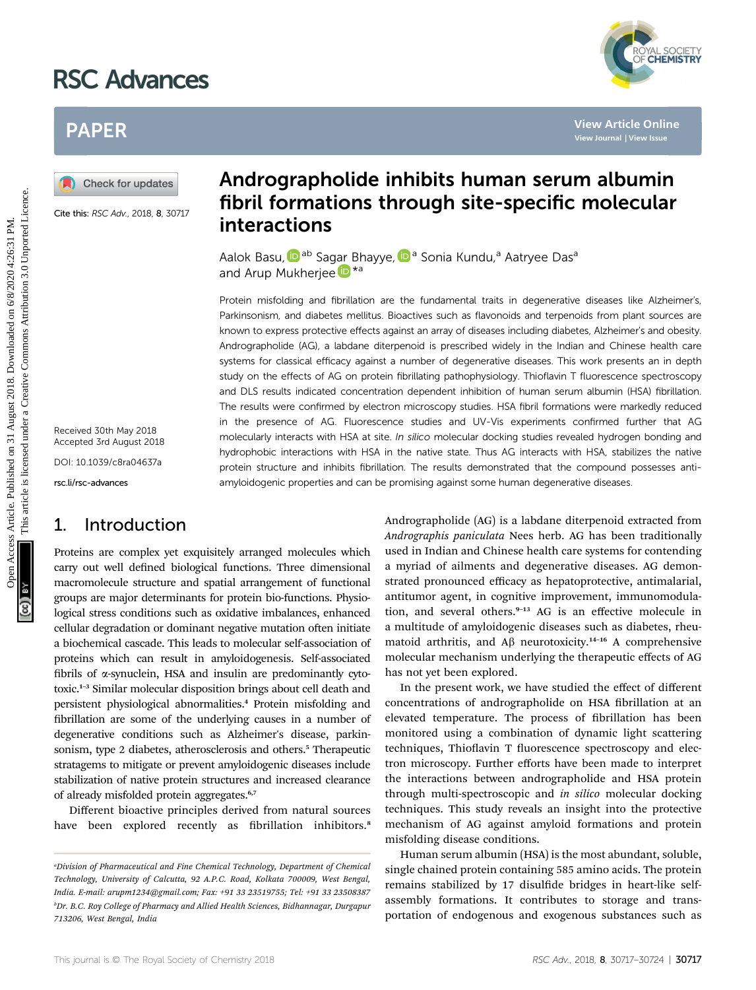# RSC Advances



## PAPER

Cite this: RSC Adv., 2018, 8, 30717

Received 30th May 2018 Accepted 3rd August 2018 DOI: 10.1039/c8ra04637a rsc.li/rsc-advances

## 1. Introduction

Proteins are complex yet exquisitely arranged molecules which carry out well defined biological functions. Three dimensional macromolecule structure and spatial arrangement of functional groups are major determinants for protein bio-functions. Physiological stress conditions such as oxidative imbalances, enhanced cellular degradation or dominant negative mutation often initiate a biochemical cascade. This leads to molecular self-association of proteins which can result in amyloidogenesis. Self-associated fibrils of  $\alpha$ -synuclein, HSA and insulin are predominantly cytotoxic.<sup>1</sup>–<sup>3</sup> Similar molecular disposition brings about cell death and persistent physiological abnormalities.<sup>4</sup> Protein misfolding and brillation are some of the underlying causes in a number of degenerative conditions such as Alzheimer's disease, parkinsonism, type 2 diabetes, atherosclerosis and others.<sup>5</sup> Therapeutic stratagems to mitigate or prevent amyloidogenic diseases include stabilization of native protein structures and increased clearance of already misfolded protein aggregates.<sup>6,7</sup>

Different bioactive principles derived from natural sources have been explored recently as fibrillation inhibitors.<sup>8</sup>

## Andrographolide inhibits human serum albumin fibril formations through site-specific molecular interactions

Aalok Basu, **ib** ab Sa[gar](http://orcid.org/0000-0002-1850-7542) Bhayye, **D**<sup>a</sup> Sonia Kundu,<sup>a</sup> Aatryee Das<sup>a</sup> and Arup Mukherjee **b** \*a

Protein misfolding and fibrillation are the fundamental traits in degenerative diseases like Alzheimer's, Parkinsonism, and diabetes mellitus. Bioactives such as flavonoids and terpenoids from plant sources are known to express protective effects against an array of diseases including diabetes, Alzheimer's and obesity. Andrographolide (AG), a labdane diterpenoid is prescribed widely in the Indian and Chinese health care systems for classical efficacy against a number of degenerative diseases. This work presents an in depth study on the effects of AG on protein fibrillating pathophysiology. Thioflavin T fluorescence spectroscopy and DLS results indicated concentration dependent inhibition of human serum albumin (HSA) fibrillation. The results were confirmed by electron microscopy studies. HSA fibril formations were markedly reduced in the presence of AG. Fluorescence studies and UV-Vis experiments confirmed further that AG molecularly interacts with HSA at site. In silico molecular docking studies revealed hydrogen bonding and hydrophobic interactions with HSA in the native state. Thus AG interacts with HSA, stabilizes the native protein structure and inhibits fibrillation. The results demonstrated that the compound possesses antiamyloidogenic properties and can be promising against some human degenerative diseases. **PAPER**<br> **(a)** Check for updates<br> **Andrographolide inhibits human serum albumin**<br>
Cite whites  $A_{\text{max}}$  and  $A_{\text{min}}$  **fibril formations through site-specific molecular**<br>  $\frac{1}{2}$  case we *time A* case some **informations** 

Andrographolide (AG) is a labdane diterpenoid extracted from Andrographis paniculata Nees herb. AG has been traditionally used in Indian and Chinese health care systems for contending a myriad of ailments and degenerative diseases. AG demonstrated pronounced efficacy as hepatoprotective, antimalarial, antitumor agent, in cognitive improvement, immunomodulation, and several others.<sup>9-13</sup> AG is an effective molecule in a multitude of amyloidogenic diseases such as diabetes, rheumatoid arthritis, and  $A\beta$  neurotoxicity.<sup>14-16</sup> A comprehensive molecular mechanism underlying the therapeutic effects of AG has not yet been explored.

In the present work, we have studied the effect of different concentrations of andrographolide on HSA fibrillation at an elevated temperature. The process of fibrillation has been monitored using a combination of dynamic light scattering techniques, Thioflavin T fluorescence spectroscopy and electron microscopy. Further efforts have been made to interpret the interactions between andrographolide and HSA protein through multi-spectroscopic and in silico molecular docking techniques. This study reveals an insight into the protective mechanism of AG against amyloid formations and protein misfolding disease conditions.

Human serum albumin (HSA) is the most abundant, soluble, single chained protein containing 585 amino acids. The protein remains stabilized by 17 disulfide bridges in heart-like selfassembly formations. It contributes to storage and transportation of endogenous and exogenous substances such as

a Division of Pharmaceutical and Fine Chemical Technology, Department of Chemical Technology, University of Calcutta, 92 A.P.C. Road, Kolkata 700009, West Bengal, India. E-mail: arupm1234@gmail.com; Fax: +91 33 23519755; Tel: +91 33 23508387 b Dr. B.C. Roy College of Pharmacy and Allied Health Sciences, Bidhannagar, Durgapur 713206, West Bengal, India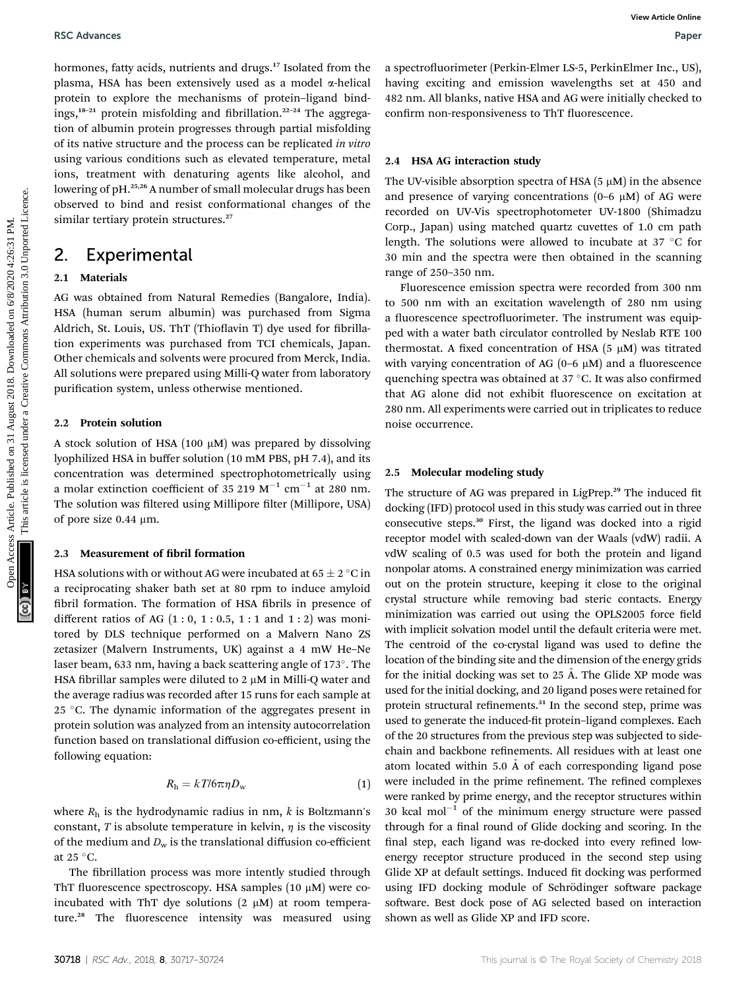hormones, fatty acids, nutrients and drugs.<sup>17</sup> Isolated from the plasma, HSA has been extensively used as a model  $\alpha$ -helical protein to explore the mechanisms of protein–ligand bindings,<sup>18-21</sup> protein misfolding and fibrillation.<sup>22-24</sup> The aggregation of albumin protein progresses through partial misfolding of its native structure and the process can be replicated in vitro using various conditions such as elevated temperature, metal ions, treatment with denaturing agents like alcohol, and lowering of pH.25,26 A number of small molecular drugs has been observed to bind and resist conformational changes of the similar tertiary protein structures.<sup>27</sup> BSC Advances<br>
Depressed on 2018. Alternative scale are considered to the state of the state of the state of the state of the state of the state of the state of the state of the state of the state of the state of the state

### 2. Experimental

#### 2.1 Materials

AG was obtained from Natural Remedies (Bangalore, India). HSA (human serum albumin) was purchased from Sigma Aldrich, St. Louis, US. ThT (Thioflavin T) dye used for fibrillation experiments was purchased from TCI chemicals, Japan. Other chemicals and solvents were procured from Merck, India. All solutions were prepared using Milli-Q water from laboratory purification system, unless otherwise mentioned.

#### 2.2 Protein solution

A stock solution of HSA (100  $\mu$ M) was prepared by dissolving lyophilized HSA in buffer solution (10 mM PBS, pH 7.4), and its concentration was determined spectrophotometrically using a molar extinction coefficient of 35 219  $M^{-1}$  cm<sup>-1</sup> at 280 nm. The solution was filtered using Millipore filter (Millipore, USA) of pore size 0.44 µm.

#### 2.3 Measurement of fibril formation

HSA solutions with or without AG were incubated at  $65 \pm 2$  °C in a reciprocating shaker bath set at 80 rpm to induce amyloid fibril formation. The formation of HSA fibrils in presence of different ratios of AG  $(1:0, 1:0.5, 1:1$  and  $1:2)$  was monitored by DLS technique performed on a Malvern Nano ZS zetasizer (Malvern Instruments, UK) against a 4 mW He–Ne laser beam, 633 nm, having a back scattering angle of 173°. The HSA fibrillar samples were diluted to 2  $\mu$ M in Milli-Q water and the average radius was recorded after 15 runs for each sample at 25 °C. The dynamic information of the aggregates present in protein solution was analyzed from an intensity autocorrelation function based on translational diffusion co-efficient, using the following equation:

$$
R_{\rm h} = kT/6\pi\eta D_{\rm w} \tag{1}
$$

where  $R_h$  is the hydrodynamic radius in nm,  $k$  is Boltzmann's constant, T is absolute temperature in kelvin,  $\eta$  is the viscosity of the medium and  $D_w$  is the translational diffusion co-efficient at 25 $\degree$ C.

The fibrillation process was more intently studied through ThT fluorescence spectroscopy. HSA samples  $(10 \mu M)$  were coincubated with ThT dye solutions  $(2 \mu M)$  at room temperature.<sup>28</sup> The fluorescence intensity was measured using a spectrofluorimeter (Perkin-Elmer LS-5, PerkinElmer Inc., US), having exciting and emission wavelengths set at 450 and 482 nm. All blanks, native HSA and AG were initially checked to confirm non-responsiveness to ThT fluorescence.

#### 2.4 HSA AG interaction study

The UV-visible absorption spectra of HSA  $(5 \mu M)$  in the absence and presence of varying concentrations  $(0-6 \mu M)$  of AG were recorded on UV-Vis spectrophotometer UV-1800 (Shimadzu Corp., Japan) using matched quartz cuvettes of 1.0 cm path length. The solutions were allowed to incubate at 37  $\degree$ C for 30 min and the spectra were then obtained in the scanning range of 250–350 nm.

Fluorescence emission spectra were recorded from 300 nm to 500 nm with an excitation wavelength of 280 nm using a fluorescence spectrofluorimeter. The instrument was equipped with a water bath circulator controlled by Neslab RTE 100 thermostat. A fixed concentration of HSA (5  $\mu$ M) was titrated with varying concentration of AG  $(0-6 \mu M)$  and a fluorescence quenching spectra was obtained at  $37^{\circ}$ C. It was also confirmed that AG alone did not exhibit fluorescence on excitation at 280 nm. All experiments were carried out in triplicates to reduce noise occurrence.

#### 2.5 Molecular modeling study

The structure of AG was prepared in LigPrep.<sup>29</sup> The induced fit docking (IFD) protocol used in this study was carried out in three consecutive steps.<sup>30</sup> First, the ligand was docked into a rigid receptor model with scaled-down van der Waals (vdW) radii. A vdW scaling of 0.5 was used for both the protein and ligand nonpolar atoms. A constrained energy minimization was carried out on the protein structure, keeping it close to the original crystal structure while removing bad steric contacts. Energy minimization was carried out using the OPLS2005 force field with implicit solvation model until the default criteria were met. The centroid of the co-crystal ligand was used to define the location of the binding site and the dimension of the energy grids for the initial docking was set to  $25$  Å. The Glide XP mode was used for the initial docking, and 20 ligand poses were retained for protein structural refinements.<sup>31</sup> In the second step, prime was used to generate the induced-fit protein-ligand complexes. Each of the 20 structures from the previous step was subjected to sidechain and backbone refinements. All residues with at least one atom located within 5.0  $\AA$  of each corresponding ligand pose were included in the prime refinement. The refined complexes were ranked by prime energy, and the receptor structures within 30 kcal mol<sup>-1</sup> of the minimum energy structure were passed through for a final round of Glide docking and scoring. In the final step, each ligand was re-docked into every refined lowenergy receptor structure produced in the second step using Glide XP at default settings. Induced fit docking was performed using IFD docking module of Schrödinger software package software. Best dock pose of AG selected based on interaction shown as well as Glide XP and IFD score.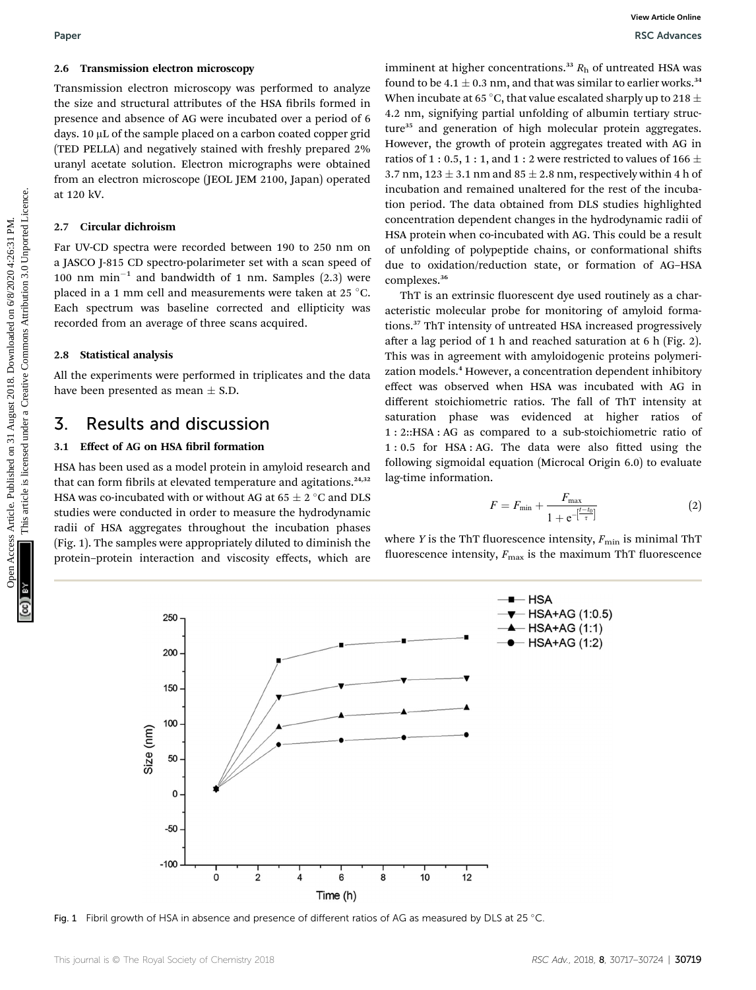#### 2.6 Transmission electron microscopy

Transmission electron microscopy was performed to analyze the size and structural attributes of the HSA fibrils formed in presence and absence of AG were incubated over a period of 6 days. 10 µL of the sample placed on a carbon coated copper grid (TED PELLA) and negatively stained with freshly prepared 2% uranyl acetate solution. Electron micrographs were obtained from an electron microscope (JEOL JEM 2100, Japan) operated at 120 kV.

#### 2.7 Circular dichroism

Far UV-CD spectra were recorded between 190 to 250 nm on a JASCO J-815 CD spectro-polarimeter set with a scan speed of 100 nm  $min^{-1}$  and bandwidth of 1 nm. Samples (2.3) were placed in a 1 mm cell and measurements were taken at 25  $^{\circ}$ C. Each spectrum was baseline corrected and ellipticity was recorded from an average of three scans acquired.

#### 2.8 Statistical analysis

All the experiments were performed in triplicates and the data have been presented as mean  $\pm$  S.D.

### 3. Results and discussion

#### 3.1 Effect of AG on HSA fibril formation

HSA has been used as a model protein in amyloid research and that can form fibrils at elevated temperature and agitations.<sup>24,32</sup> HSA was co-incubated with or without AG at  $65 \pm 2$  °C and DLS studies were conducted in order to measure the hydrodynamic radii of HSA aggregates throughout the incubation phases (Fig. 1). The samples were appropriately diluted to diminish the protein–protein interaction and viscosity effects, which are

imminent at higher concentrations.<sup>33</sup>  $R<sub>h</sub>$  of untreated HSA was found to be 4.1  $\pm$  0.3 nm, and that was similar to earlier works.<sup>34</sup> When incubate at 65 °C, that value escalated sharply up to 218  $\pm$ 4.2 nm, signifying partial unfolding of albumin tertiary structure<sup>35</sup> and generation of high molecular protein aggregates. However, the growth of protein aggregates treated with AG in ratios of 1 : 0.5, 1 : 1, and 1 : 2 were restricted to values of 166  $\pm$ 3.7 nm,  $123 \pm 3.1$  nm and  $85 \pm 2.8$  nm, respectively within 4 h of incubation and remained unaltered for the rest of the incubation period. The data obtained from DLS studies highlighted concentration dependent changes in the hydrodynamic radii of HSA protein when co-incubated with AG. This could be a result of unfolding of polypeptide chains, or conformational shifts due to oxidation/reduction state, or formation of AG–HSA complexes.<sup>36</sup> Paper<br>
26. Transmission electron microscopy as proformed to analyse <sup>transmitting</sup> (2) August 2018. The size and absorber and absorber are the F4S shrink bremed in a size of the size and the size and absorber are the size

ThT is an extrinsic fluorescent dye used routinely as a characteristic molecular probe for monitoring of amyloid formations.<sup>37</sup> ThT intensity of untreated HSA increased progressively after a lag period of 1 h and reached saturation at 6 h (Fig. 2). This was in agreement with amyloidogenic proteins polymerization models.<sup>4</sup> However, a concentration dependent inhibitory effect was observed when HSA was incubated with AG in different stoichiometric ratios. The fall of ThT intensity at saturation phase was evidenced at higher ratios of 1 : 2::HSA : AG as compared to a sub-stoichiometric ratio of  $1: 0.5$  for HSA: AG. The data were also fitted using the following sigmoidal equation (Microcal Origin 6.0) to evaluate lag-time information.

$$
F = F_{\min} + \frac{F_{\max}}{1 + e^{-\left[\frac{t - t_0}{\tau}\right]}}\tag{2}
$$

where Y is the ThT fluorescence intensity,  $F_{\text{min}}$  is minimal ThT fluorescence intensity,  $F_{\text{max}}$  is the maximum ThT fluorescence



Fig. 1 Fibril growth of HSA in absence and presence of different ratios of AG as measured by DLS at 25 °C.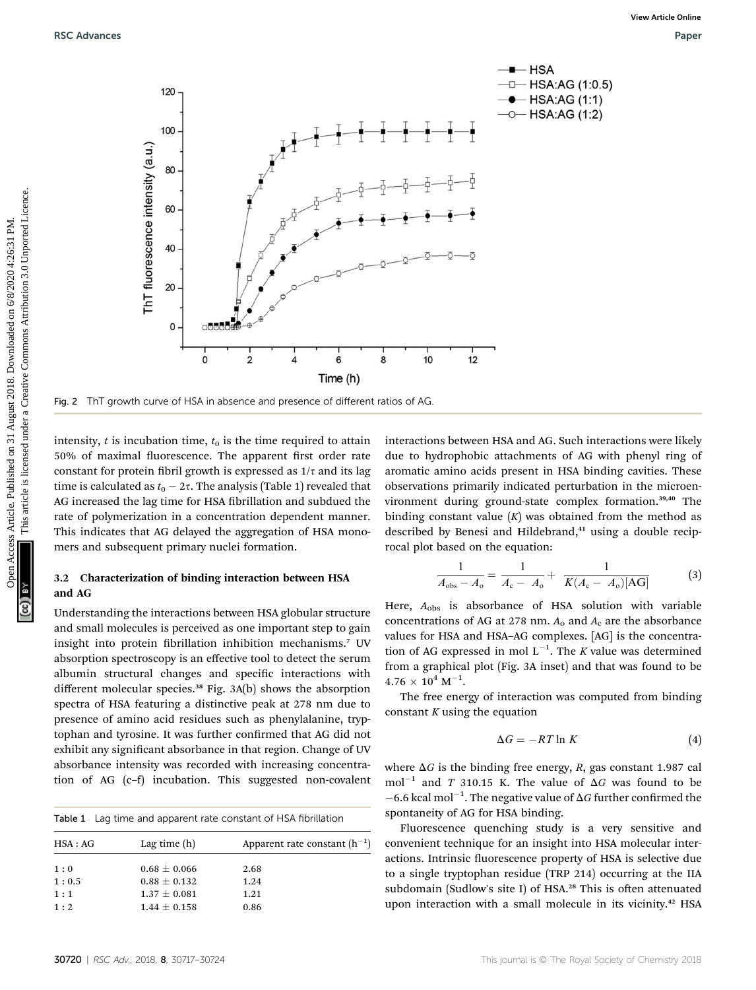

Fig. 2 ThT growth curve of HSA in absence and presence of different ratios of AG

intensity,  $t$  is incubation time,  $t_0$  is the time required to attain 50% of maximal fluorescence. The apparent first order rate constant for protein fibril growth is expressed as  $1/\tau$  and its lag time is calculated as  $t_0 - 2\tau$ . The analysis (Table 1) revealed that AG increased the lag time for HSA fibrillation and subdued the rate of polymerization in a concentration dependent manner. This indicates that AG delayed the aggregation of HSA monomers and subsequent primary nuclei formation.

#### 3.2 Characterization of binding interaction between HSA and AG

Understanding the interactions between HSA globular structure and small molecules is perceived as one important step to gain insight into protein fibrillation inhibition mechanisms.<sup>7</sup> UV absorption spectroscopy is an effective tool to detect the serum albumin structural changes and specific interactions with different molecular species.<sup>38</sup> Fig. 3A(b) shows the absorption spectra of HSA featuring a distinctive peak at 278 nm due to presence of amino acid residues such as phenylalanine, tryptophan and tyrosine. It was further confirmed that AG did not exhibit any significant absorbance in that region. Change of UV absorbance intensity was recorded with increasing concentration of AG (c–f) incubation. This suggested non-covalent

|  |  | <b>Table 1</b> Lag time and apparent rate constant of HSA fibrillation |  |
|--|--|------------------------------------------------------------------------|--|
|--|--|------------------------------------------------------------------------|--|

| HSA:AG | Lag time $(h)$   | Apparent rate constant $(h^{-1})$ |
|--------|------------------|-----------------------------------|
| 1:0    | $0.68 \pm 0.066$ | 2.68                              |
| 1:0.5  | $0.88 \pm 0.132$ | 1.24                              |
| 1:1    | $1.37 \pm 0.081$ | 1.21                              |
| 1:2    | $1.44 \pm 0.158$ | 0.86                              |

interactions between HSA and AG. Such interactions were likely due to hydrophobic attachments of AG with phenyl ring of aromatic amino acids present in HSA binding cavities. These observations primarily indicated perturbation in the microenvironment during ground-state complex formation.39,40 The binding constant value  $(K)$  was obtained from the method as described by Benesi and Hildebrand,<sup>41</sup> using a double reciprocal plot based on the equation:

$$
\frac{1}{A_{\text{obs}} - A_{\text{o}}} = \frac{1}{A_{\text{c}} - A_{\text{o}}} + \frac{1}{K(A_{\text{c}} - A_{\text{o}})[\text{AG}]}
$$
(3)

Here,  $A_{obs}$  is absorbance of HSA solution with variable concentrations of AG at 278 nm.  $A_0$  and  $A_c$  are the absorbance values for HSA and HSA–AG complexes. [AG] is the concentration of AG expressed in mol  $L^{-1}$ . The K value was determined from a graphical plot (Fig. 3A inset) and that was found to be  $4.76 \times 10^4$  M<sup>-1</sup>.

The free energy of interaction was computed from binding constant  $K$  using the equation

$$
\Delta G = -RT \ln K \tag{4}
$$

where  $\Delta G$  is the binding free energy, R, gas constant 1.987 cal mol<sup>-1</sup> and T 310.15 K. The value of  $\Delta G$  was found to be  $-6.6$  kcal mol<sup>-1</sup>. The negative value of  $\Delta G$  further confirmed the contensity of  $\Delta G$  for USA binding spontaneity of AG for HSA binding.

Fluorescence quenching study is a very sensitive and convenient technique for an insight into HSA molecular interactions. Intrinsic fluorescence property of HSA is selective due to a single tryptophan residue (TRP 214) occurring at the IIA subdomain (Sudlow's site I) of HSA.<sup>28</sup> This is often attenuated upon interaction with a small molecule in its vicinity.<sup>42</sup> HSA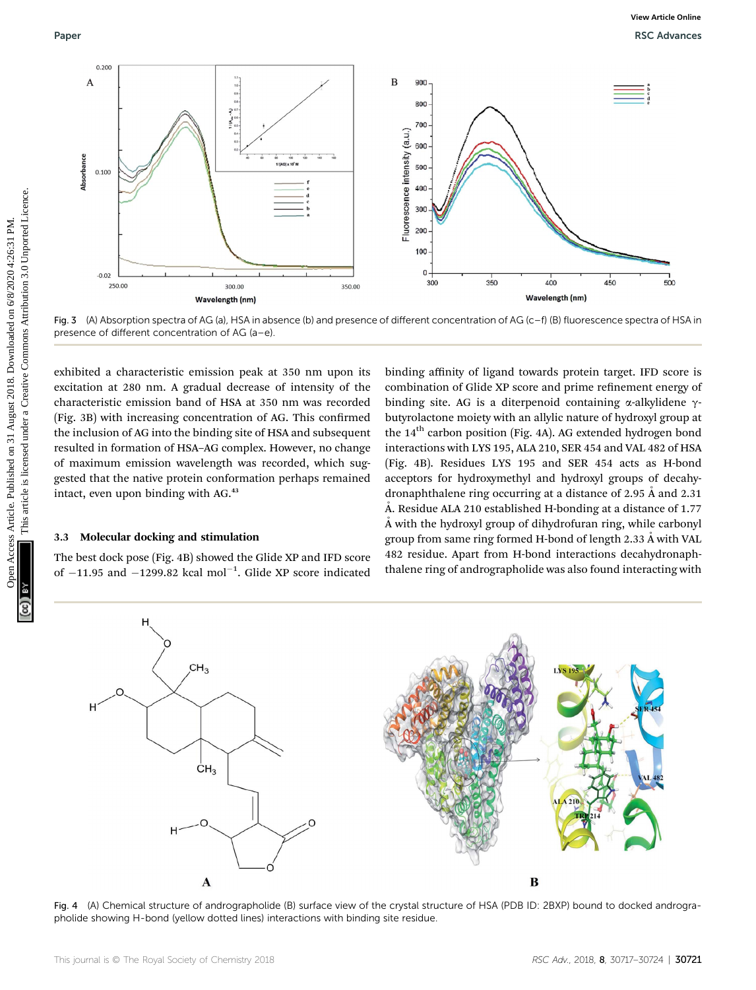

Fig. 3 (A) Absorption spectra of AG (a), HSA in absence (b) and presence of different concentration of AG (c–f) (B) fluorescence spectra of HSA in presence of different concentration of AG (a–e).

exhibited a characteristic emission peak at 350 nm upon its excitation at 280 nm. A gradual decrease of intensity of the characteristic emission band of HSA at 350 nm was recorded (Fig. 3B) with increasing concentration of AG. This confirmed the inclusion of AG into the binding site of HSA and subsequent resulted in formation of HSA–AG complex. However, no change of maximum emission wavelength was recorded, which suggested that the native protein conformation perhaps remained intact, even upon binding with AG.<sup>43</sup>

#### 3.3 Molecular docking and stimulation

The best dock pose (Fig. 4B) showed the Glide XP and IFD score of  $-11.95$  and  $-1299.82$  kcal mol<sup>-1</sup>. Glide XP score indicated

binding affinity of ligand towards protein target. IFD score is combination of Glide XP score and prime refinement energy of binding site. AG is a diterpenoid containing  $\alpha$ -alkylidene  $\gamma$ butyrolactone moiety with an allylic nature of hydroxyl group at the 14<sup>th</sup> carbon position (Fig. 4A). AG extended hydrogen bond interactions with LYS 195, ALA 210, SER 454 and VAL 482 of HSA (Fig. 4B). Residues LYS 195 and SER 454 acts as H-bond acceptors for hydroxymethyl and hydroxyl groups of decahydronaphthalene ring occurring at a distance of 2.95  $\AA$  and 2.31 Å. Residue ALA 210 established H-bonding at a distance of  $1.77$  $\AA$  with the hydroxyl group of dihydrofuran ring, while carbonyl group from same ring formed H-bond of length 2.33  $\AA$  with VAL 482 residue. Apart from H-bond interactions decahydronaphthalene ring of andrographolide was also found interacting with



Fig. 4 (A) Chemical structure of andrographolide (B) surface view of the crystal structure of HSA (PDB ID: 2BXP) bound to docked andrographolide showing H-bond (yellow dotted lines) interactions with binding site residue.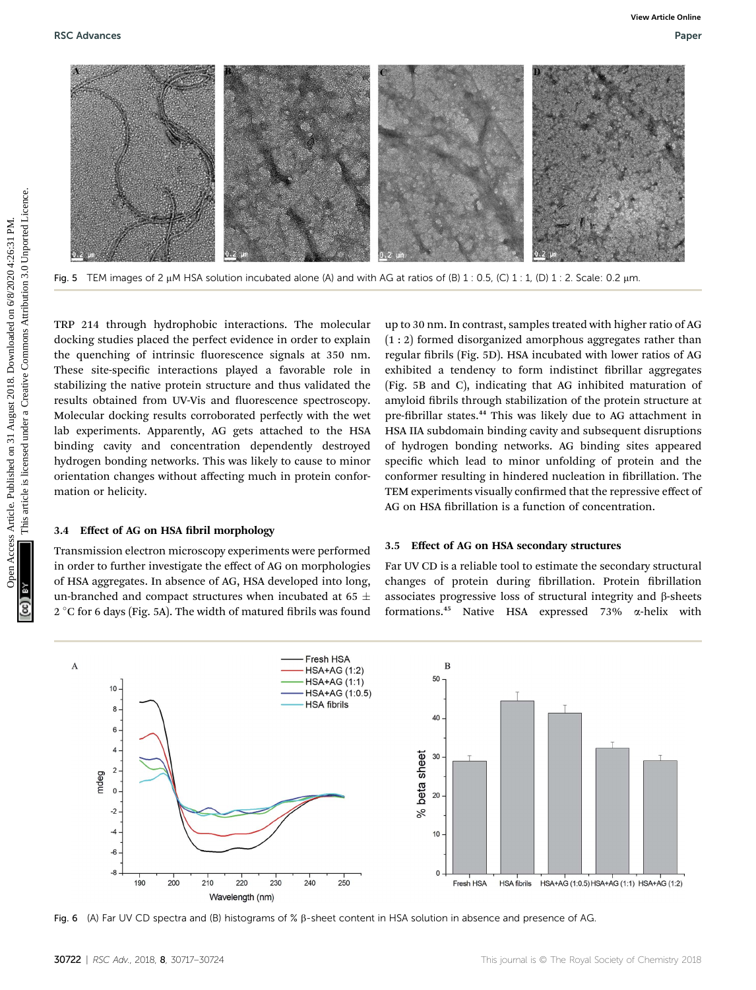

Fig. 5 TEM images of 2  $\mu$ M HSA solution incubated alone (A) and with AG at ratios of (B) 1 : 0.5, (C) 1 : 1, (D) 1 : 2. Scale: 0.2  $\mu$ m.

TRP 214 through hydrophobic interactions. The molecular docking studies placed the perfect evidence in order to explain the quenching of intrinsic fluorescence signals at 350 nm. These site-specific interactions played a favorable role in stabilizing the native protein structure and thus validated the results obtained from UV-Vis and fluorescence spectroscopy. Molecular docking results corroborated perfectly with the wet lab experiments. Apparently, AG gets attached to the HSA binding cavity and concentration dependently destroyed hydrogen bonding networks. This was likely to cause to minor orientation changes without affecting much in protein conformation or helicity.

#### 3.4 Effect of AG on HSA fibril morphology

Transmission electron microscopy experiments were performed in order to further investigate the effect of AG on morphologies of HSA aggregates. In absence of AG, HSA developed into long, un-branched and compact structures when incubated at 65  $\pm$  $2^{\circ}$ C for 6 days (Fig. 5A). The width of matured fibrils was found

up to 30 nm. In contrast, samples treated with higher ratio of AG (1 : 2) formed disorganized amorphous aggregates rather than regular fibrils (Fig. 5D). HSA incubated with lower ratios of AG exhibited a tendency to form indistinct fibrillar aggregates (Fig. 5B and C), indicating that AG inhibited maturation of amyloid fibrils through stabilization of the protein structure at pre-fibrillar states.<sup>44</sup> This was likely due to AG attachment in HSA IIA subdomain binding cavity and subsequent disruptions of hydrogen bonding networks. AG binding sites appeared specific which lead to minor unfolding of protein and the conformer resulting in hindered nucleation in fibrillation. The TEM experiments visually confirmed that the repressive effect of AG on HSA fibrillation is a function of concentration.

#### 3.5 Effect of AG on HSA secondary structures

Far UV CD is a reliable tool to estimate the secondary structural changes of protein during fibrillation. Protein fibrillation associates progressive loss of structural integrity and  $\beta$ -sheets formations.<sup>45</sup> Native HSA expressed 73% a-helix with



Fig. 6 (A) Far UV CD spectra and (B) histograms of %  $\beta$ -sheet content in HSA solution in absence and presence of AG.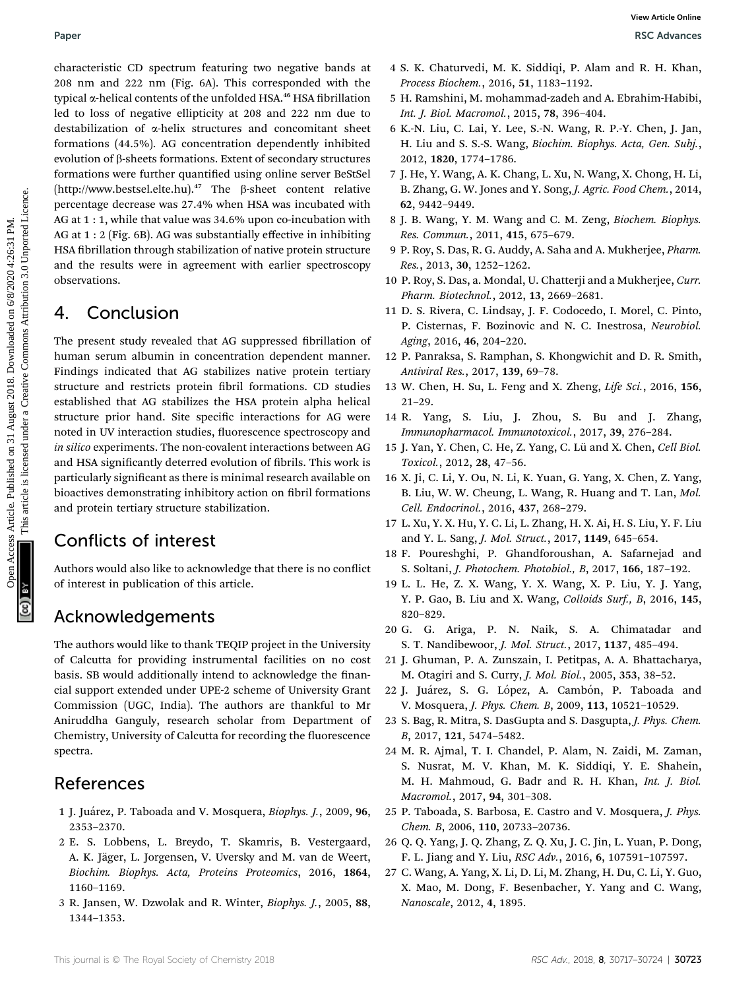characteristic CD spectrum featuring two negative bands at 208 nm and 222 nm (Fig. 6A). This corresponded with the typical *a*-helical contents of the unfolded HSA.<sup>46</sup> HSA fibrillation led to loss of negative ellipticity at 208 and 222 nm due to destabilization of a-helix structures and concomitant sheet formations (44.5%). AG concentration dependently inhibited evolution of  $\beta$ -sheets formations. Extent of secondary structures formations were further quantified using online server BeStSel (http://www.bestsel.elte.hu).<sup>47</sup> The  $\beta$ -sheet content relative percentage decrease was 27.4% when HSA was incubated with AG at 1 : 1, while that value was 34.6% upon co-incubation with AG at 1 : 2 (Fig. 6B). AG was substantially effective in inhibiting HSA fibrillation through stabilization of native protein structure and the results were in agreement with earlier spectroscopy observations. Paper<br>
Calculate CD spectrum (each one spectral controlled on the *Theodoress Articles* Articles Articles Articles<br>
2018. The CHI Solution of the *CREAT COMMONSTATE COMMONSTATES*<br>
(and are also are the *main of the articl* 

## 4. Conclusion

The present study revealed that AG suppressed fibrillation of human serum albumin in concentration dependent manner. Findings indicated that AG stabilizes native protein tertiary structure and restricts protein fibril formations. CD studies established that AG stabilizes the HSA protein alpha helical structure prior hand. Site specific interactions for AG were noted in UV interaction studies, fluorescence spectroscopy and in silico experiments. The non-covalent interactions between AG and HSA significantly deterred evolution of fibrils. This work is particularly signicant as there is minimal research available on bioactives demonstrating inhibitory action on fibril formations and protein tertiary structure stabilization.

## Conflicts of interest

Authors would also like to acknowledge that there is no conflict of interest in publication of this article.

## Acknowledgements

The authors would like to thank TEQIP project in the University of Calcutta for providing instrumental facilities on no cost basis. SB would additionally intend to acknowledge the financial support extended under UPE-2 scheme of University Grant Commission (UGC, India). The authors are thankful to Mr Aniruddha Ganguly, research scholar from Department of Chemistry, University of Calcutta for recording the fluorescence spectra.

### References

- 1 J. Ju´arez, P. Taboada and V. Mosquera, Biophys. J., 2009, 96, 2353–2370.
- 2 E. S. Lobbens, L. Breydo, T. Skamris, B. Vestergaard, A. K. Jäger, L. Jorgensen, V. Uversky and M. van de Weert, Biochim. Biophys. Acta, Proteins Proteomics, 2016, 1864, 1160–1169.
- 3 R. Jansen, W. Dzwolak and R. Winter, Biophys. J., 2005, 88, 1344–1353.
- 4 S. K. Chaturvedi, M. K. Siddiqi, P. Alam and R. H. Khan, Process Biochem., 2016, 51, 1183–1192.
- 5 H. Ramshini, M. mohammad-zadeh and A. Ebrahim-Habibi, Int. J. Biol. Macromol., 2015, 78, 396–404.
- 6 K.-N. Liu, C. Lai, Y. Lee, S.-N. Wang, R. P.-Y. Chen, J. Jan, H. Liu and S. S.-S. Wang, Biochim. Biophys. Acta, Gen. Subj., 2012, 1820, 1774–1786.
- 7 J. He, Y. Wang, A. K. Chang, L. Xu, N. Wang, X. Chong, H. Li, B. Zhang, G. W. Jones and Y. Song, J. Agric. Food Chem., 2014, 62, 9442–9449.
- 8 J. B. Wang, Y. M. Wang and C. M. Zeng, Biochem. Biophys. Res. Commun., 2011, 415, 675–679.
- 9 P. Roy, S. Das, R. G. Auddy, A. Saha and A. Mukherjee, Pharm. Res., 2013, 30, 1252–1262.
- 10 P. Roy, S. Das, a. Mondal, U. Chatterji and a Mukherjee, Curr. Pharm. Biotechnol., 2012, 13, 2669–2681.
- 11 D. S. Rivera, C. Lindsay, J. F. Codocedo, I. Morel, C. Pinto, P. Cisternas, F. Bozinovic and N. C. Inestrosa, Neurobiol. Aging, 2016, 46, 204–220.
- 12 P. Panraksa, S. Ramphan, S. Khongwichit and D. R. Smith, Antiviral Res., 2017, 139, 69–78.
- 13 W. Chen, H. Su, L. Feng and X. Zheng, Life Sci., 2016, 156, 21–29.
- 14 R. Yang, S. Liu, J. Zhou, S. Bu and J. Zhang, Immunopharmacol. Immunotoxicol., 2017, 39, 276–284.
- 15 J. Yan, Y. Chen, C. He, Z. Yang, C. Lü and X. Chen, Cell Biol. Toxicol., 2012, 28, 47–56.
- 16 X. Ji, C. Li, Y. Ou, N. Li, K. Yuan, G. Yang, X. Chen, Z. Yang, B. Liu, W. W. Cheung, L. Wang, R. Huang and T. Lan, Mol. Cell. Endocrinol., 2016, 437, 268–279.
- 17 L. Xu, Y. X. Hu, Y. C. Li, L. Zhang, H. X. Ai, H. S. Liu, Y. F. Liu and Y. L. Sang, J. Mol. Struct., 2017, 1149, 645–654.
- 18 F. Poureshghi, P. Ghandforoushan, A. Safarnejad and S. Soltani, J. Photochem. Photobiol., B, 2017, 166, 187–192.
- 19 L. L. He, Z. X. Wang, Y. X. Wang, X. P. Liu, Y. J. Yang, Y. P. Gao, B. Liu and X. Wang, Colloids Surf., B, 2016, 145, 820–829.
- 20 G. G. Ariga, P. N. Naik, S. A. Chimatadar and S. T. Nandibewoor, J. Mol. Struct., 2017, 1137, 485–494.
- 21 J. Ghuman, P. A. Zunszain, I. Petitpas, A. A. Bhattacharya, M. Otagiri and S. Curry, J. Mol. Biol., 2005, 353, 38–52.
- 22 J. Juárez, S. G. López, A. Cambón, P. Taboada and V. Mosquera, J. Phys. Chem. B, 2009, 113, 10521–10529.
- 23 S. Bag, R. Mitra, S. DasGupta and S. Dasgupta, J. Phys. Chem. B, 2017, 121, 5474–5482.
- 24 M. R. Ajmal, T. I. Chandel, P. Alam, N. Zaidi, M. Zaman, S. Nusrat, M. V. Khan, M. K. Siddiqi, Y. E. Shahein, M. H. Mahmoud, G. Badr and R. H. Khan, Int. J. Biol. Macromol., 2017, 94, 301–308.
- 25 P. Taboada, S. Barbosa, E. Castro and V. Mosquera, J. Phys. Chem. B, 2006, 110, 20733–20736.
- 26 Q. Q. Yang, J. Q. Zhang, Z. Q. Xu, J. C. Jin, L. Yuan, P. Dong, F. L. Jiang and Y. Liu, RSC Adv., 2016, 6, 107591–107597.
- 27 C. Wang, A. Yang, X. Li, D. Li, M. Zhang, H. Du, C. Li, Y. Guo, X. Mao, M. Dong, F. Besenbacher, Y. Yang and C. Wang, Nanoscale, 2012, 4, 1895.